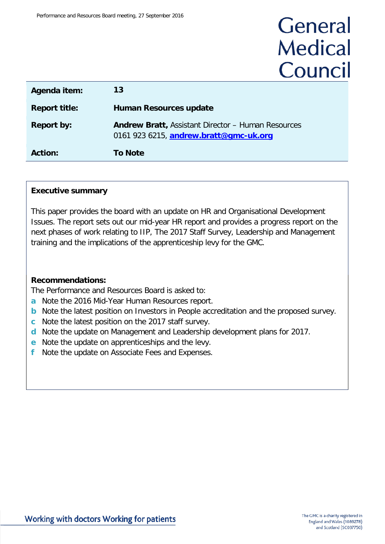# General **Medical** Council

| <b>Action:</b>       | <b>To Note</b>                                                                                      |
|----------------------|-----------------------------------------------------------------------------------------------------|
| <b>Report by:</b>    | <b>Andrew Bratt, Assistant Director - Human Resources</b><br>0161 923 6215, andrew.bratt@gmc-uk.org |
| <b>Report title:</b> | Human Resources update                                                                              |
| Agenda item:         | 13                                                                                                  |

### **Executive summary**

This paper provides the board with an update on HR and Organisational Development Issues. The report sets out our mid-year HR report and provides a progress report on the next phases of work relating to IIP, The 2017 Staff Survey, Leadership and Management training and the implications of the apprenticeship levy for the GMC.

### **Recommendations:**

The Performance and Resources Board is asked to:

- **a** Note the 2016 Mid-Year Human Resources report.
- **b** Note the latest position on Investors in People accreditation and the proposed survey.
- **c** Note the latest position on the 2017 staff survey.
- **d** Note the update on Management and Leadership development plans for 2017.
- **e** Note the update on apprenticeships and the levy.
- **f** Note the update on Associate Fees and Expenses.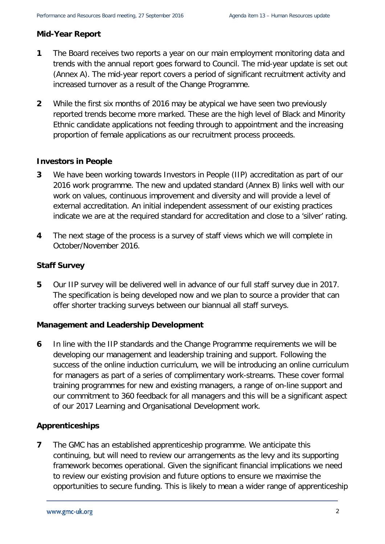### **Mid-Year Report**

- **1** The Board receives two reports a year on our main employment monitoring data and trends with the annual report goes forward to Council. The mid-year update is set out (Annex A). The mid-year report covers a period of significant recruitment activity and increased turnover as a result of the Change Programme.
- **2** While the first six months of 2016 may be atypical we have seen two previously reported trends become more marked. These are the high level of Black and Minority Ethnic candidate applications not feeding through to appointment and the increasing proportion of female applications as our recruitment process proceeds.

### **Investors in People**

- **3** We have been working towards Investors in People (IIP) accreditation as part of our 2016 work programme. The new and updated standard (Annex B) links well with our work on values, continuous improvement and diversity and will provide a level of external accreditation. An initial independent assessment of our existing practices indicate we are at the required standard for accreditation and close to a 'silver' rating.
- **4** The next stage of the process is a survey of staff views which we will complete in October/November 2016.

### **Staff Survey**

**5** Our IIP survey will be delivered well in advance of our full staff survey due in 2017. The specification is being developed now and we plan to source a provider that can offer shorter tracking surveys between our biannual all staff surveys.

### **Management and Leadership Development**

**6** In line with the IIP standards and the Change Programme requirements we will be developing our management and leadership training and support. Following the success of the online induction curriculum, we will be introducing an online curriculum for managers as part of a series of complimentary work-streams. These cover formal training programmes for new and existing managers, a range of on-line support and our commitment to 360 feedback for all managers and this will be a significant aspect of our 2017 Learning and Organisational Development work.

### **Apprenticeships**

**7** The GMC has an established apprenticeship programme. We anticipate this continuing, but will need to review our arrangements as the levy and its supporting framework becomes operational. Given the significant financial implications we need to review our existing provision and future options to ensure we maximise the opportunities to secure funding. This is likely to mean a wider range of apprenticeship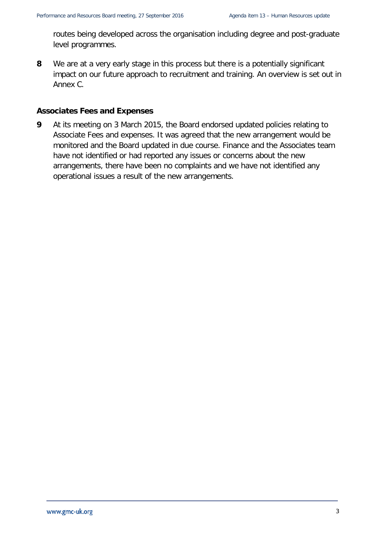routes being developed across the organisation including degree and post-graduate level programmes.

**8** We are at a very early stage in this process but there is a potentially significant impact on our future approach to recruitment and training. An overview is set out in Annex C.

### **Associates Fees and Expenses**

**9** At its meeting on 3 March 2015, the Board endorsed updated policies relating to Associate Fees and expenses. It was agreed that the new arrangement would be monitored and the Board updated in due course. Finance and the Associates team have not identified or had reported any issues or concerns about the new arrangements, there have been no complaints and we have not identified any operational issues a result of the new arrangements.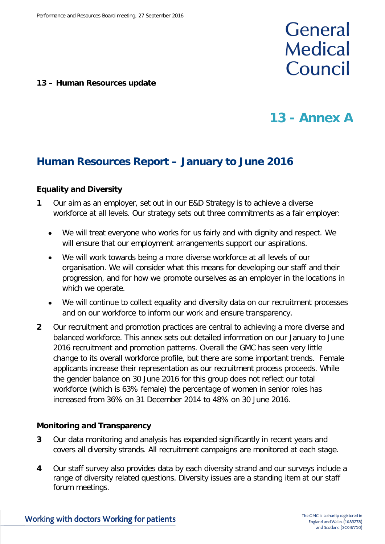# **General Medical** Council

### **13 – Human Resources update**

### **13 - Annex A**

### **Human Resources Report – January to June 2016**

### **Equality and Diversity**

- **1** Our aim as an employer, set out in our E&D Strategy is to achieve a diverse workforce at all levels. Our strategy sets out three commitments as a fair employer:
	- We will treat everyone who works for us fairly and with dignity and respect. We will ensure that our employment arrangements support our aspirations.
	- We will work towards being a more diverse workforce at all levels of our organisation. We will consider what this means for developing our staff and their progression, and for how we promote ourselves as an employer in the locations in which we operate.
	- We will continue to collect equality and diversity data on our recruitment processes and on our workforce to inform our work and ensure transparency.
- **2** Our recruitment and promotion practices are central to achieving a more diverse and balanced workforce. This annex sets out detailed information on our January to June 2016 recruitment and promotion patterns. Overall the GMC has seen very little change to its overall workforce profile, but there are some important trends. Female applicants increase their representation as our recruitment process proceeds. While the gender balance on 30 June 2016 for this group does not reflect our total workforce (which is 63% female) the percentage of women in senior roles has increased from 36% on 31 December 2014 to 48% on 30 June 2016.

### **Monitoring and Transparency**

- **3** Our data monitoring and analysis has expanded significantly in recent years and covers all diversity strands. All recruitment campaigns are monitored at each stage.
- **4** Our staff survey also provides data by each diversity strand and our surveys include a range of diversity related questions. Diversity issues are a standing item at our staff forum meetings.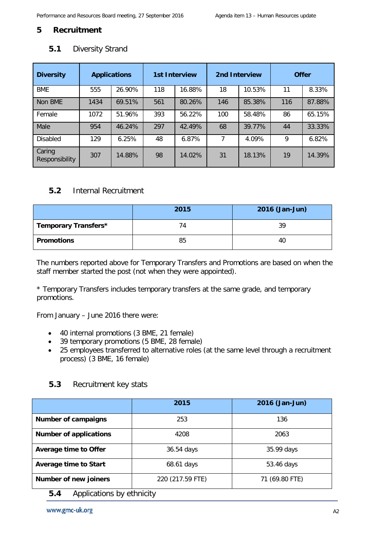### **5 Recruitment**

### **5.1** Diversity Strand

| <b>Diversity</b>         |      | <b>Applications</b> |     | <b>1st Interview</b> | 2nd Interview |        | <b>Offer</b> |        |
|--------------------------|------|---------------------|-----|----------------------|---------------|--------|--------------|--------|
| <b>BME</b>               | 555  | 26.90%              | 118 | 16.88%               | 18            | 10.53% | 11           | 8.33%  |
| Non BME                  | 1434 | 69.51%              | 561 | 80.26%               | 146           | 85.38% | 116          | 87.88% |
| Female                   | 1072 | 51.96%              | 393 | 56.22%               | 100           | 58.48% | 86           | 65.15% |
| Male                     | 954  | 46.24%              | 297 | 42.49%               | 68            | 39.77% | 44           | 33.33% |
| <b>Disabled</b>          | 129  | 6.25%               | 48  | 6.87%                | 7             | 4.09%  | 9            | 6.82%  |
| Caring<br>Responsibility | 307  | 14.88%              | 98  | 14.02%               | 31            | 18.13% | 19           | 14.39% |

### **5.2** Internal Recruitment

|                      | 2015 | 2016 (Jan-Jun) |
|----------------------|------|----------------|
| Temporary Transfers* |      | 39             |
| <b>Promotions</b>    | 85   | 40             |

The numbers reported above for Temporary Transfers and Promotions are based on when the staff member started the post (not when they were appointed).

\* Temporary Transfers includes temporary transfers at the same grade, and temporary promotions.

From January – June 2016 there were:

- 40 internal promotions (3 BME, 21 female)
- 39 temporary promotions (5 BME, 28 female)
- 25 employees transferred to alternative roles (at the same level through a recruitment process) (3 BME, 16 female)

|                               | 2015             | 2016 (Jan-Jun) |
|-------------------------------|------------------|----------------|
| <b>Number of campaigns</b>    | 253              | 136            |
| <b>Number of applications</b> | 4208             | 2063           |
| Average time to Offer         | 36.54 days       | 35.99 days     |
| <b>Average time to Start</b>  | 68.61 days       | 53.46 days     |
| Number of new joiners         | 220 (217.59 FTE) | 71 (69.80 FTE) |

### **5.3** Recruitment key stats

**5.4** Applications by ethnicity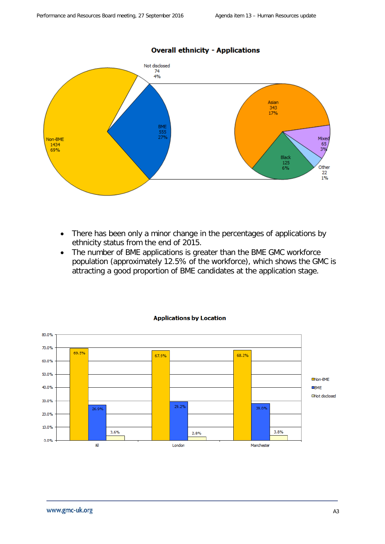

### **Overall ethnicity - Applications**

- There has been only a minor change in the percentages of applications by ethnicity status from the end of 2015.
- The number of BME applications is greater than the BME GMC workforce population (approximately 12.5% of the workforce), which shows the GMC is attracting a good proportion of BME candidates at the application stage.



#### **Applications by Location**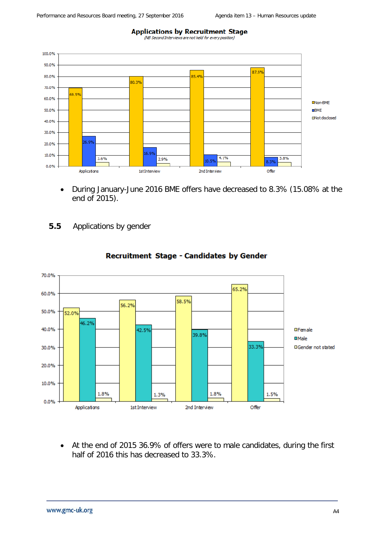**Applications by Recruitment Stage** 

(NB Second Interviews are not held for every position)



- During January-June 2016 BME offers have decreased to 8.3% (15.08% at the end of 2015).
- **5.5** Applications by gender



### Recruitment Stage - Candidates by Gender

• At the end of 2015 36.9% of offers were to male candidates, during the first half of 2016 this has decreased to 33.3%.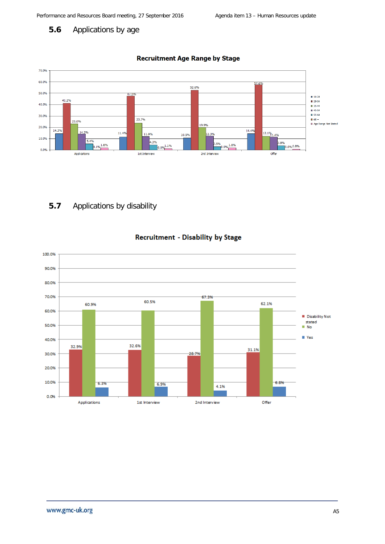### **5.6** Applications by age



#### **Recruitment Age Range by Stage**

### **5.7** Applications by disability



### **Recruitment - Disability by Stage**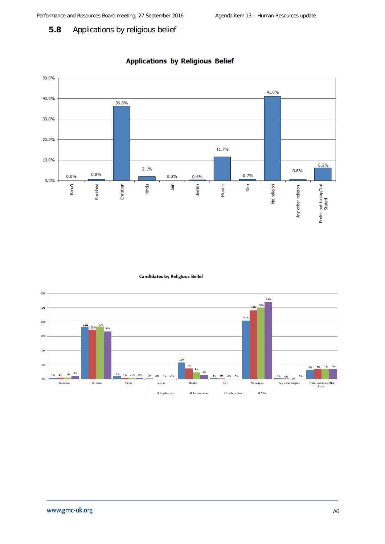### **5.8** Applications by religious belief



### **Applications by Religious Belief**

**Candidates by Religious Belief** 

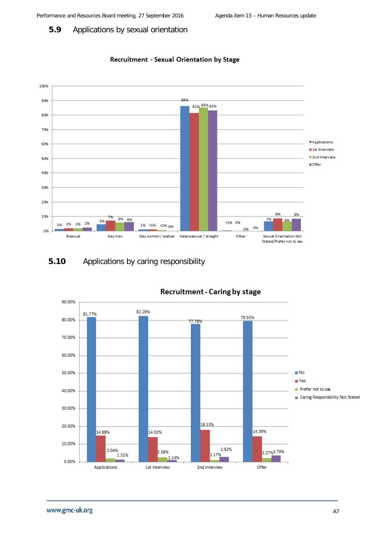### **5.9** Applications by sexual orientation



Recruitment - Sexual Orientation by Stage

### **5.10** Applications by caring responsibility



### **Recruitment - Caring by stage**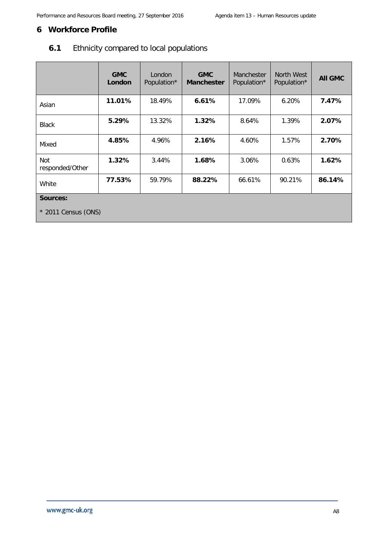### **6 Workforce Profile**

### **6.1** Ethnicity compared to local populations

|                        | <b>GMC</b><br>London | London<br>Population* | <b>GMC</b><br><b>Manchester</b> | Manchester<br>Population* | North West<br>Population* | <b>AII GMC</b> |
|------------------------|----------------------|-----------------------|---------------------------------|---------------------------|---------------------------|----------------|
| Asian                  | 11.01%               | 18.49%                | 6.61%                           | 17.09%                    | 6.20%                     | 7.47%          |
| <b>Black</b>           | 5.29%                | 13.32%                | 1.32%                           | 8.64%                     | 1.39%                     | 2.07%          |
| Mixed                  | 4.85%                | 4.96%                 | 2.16%                           | 4.60%                     | 1.57%                     | 2.70%          |
| Not<br>responded/Other | 1.32%                | 3.44%                 | 1.68%                           | 3.06%                     | 0.63%                     | 1.62%          |
| White                  | 77.53%               | 59.79%                | 88.22%                          | 66.61%                    | 90.21%                    | 86.14%         |
| Sources:               |                      |                       |                                 |                           |                           |                |
| * 2011 Census (ONS)    |                      |                       |                                 |                           |                           |                |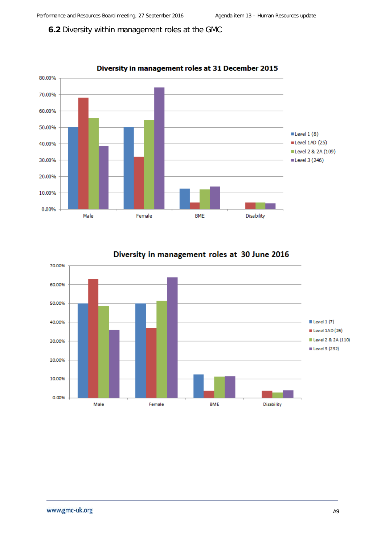**6.2** Diversity within management roles at the GMC





Diversity in management roles at 30 June 2016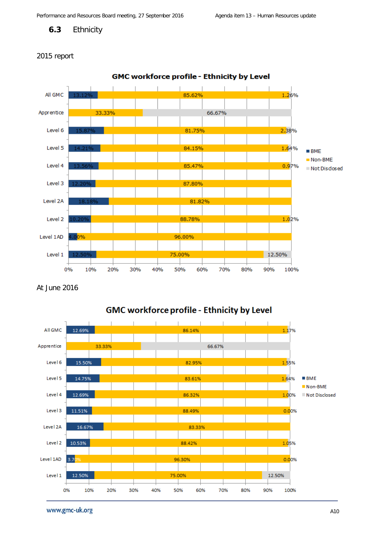### **6.3** Ethnicity

### 2015 report



GMC workforce profile - Ethnicity by Level

At June 2016



### GMC workforce profile - Ethnicity by Level

www.gmc-uk.org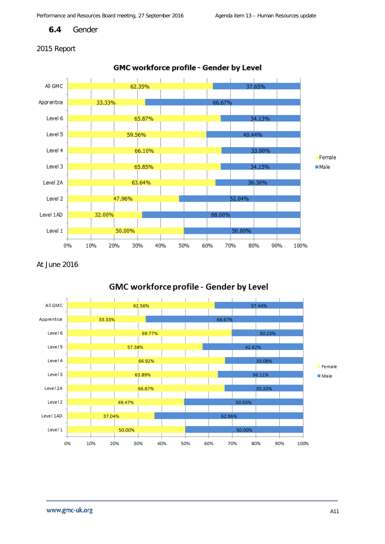### **6.4** Gender

### 2015 Report



**GMC workforce profile - Gender by Level** 

At June 2016



### GMC workforce profile - Gender by Level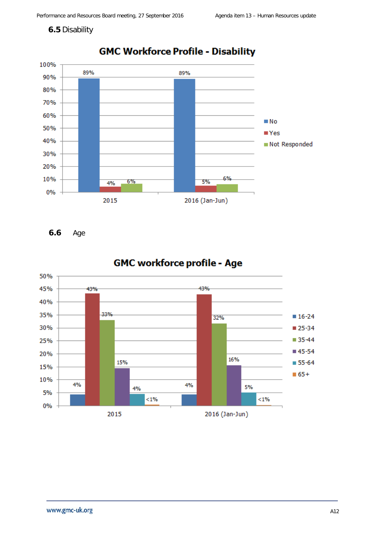### **6.5** Disability



**6.6** Age



### **GMC workforce profile - Age**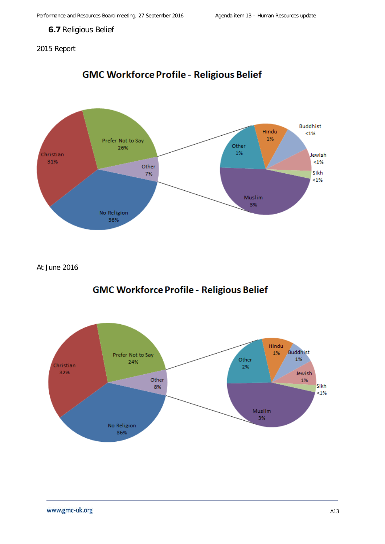### **6.7** Religious Belief

### 2015 Report



### **GMC Workforce Profile - Religious Belief**

At June 2016

### **GMC Workforce Profile - Religious Belief**

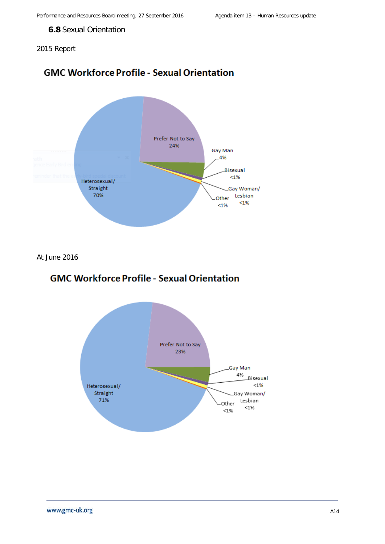### **6.8** Sexual Orientation

### 2015 Report

### **GMC Workforce Profile - Sexual Orientation**



At June 2016

### **GMC Workforce Profile - Sexual Orientation**

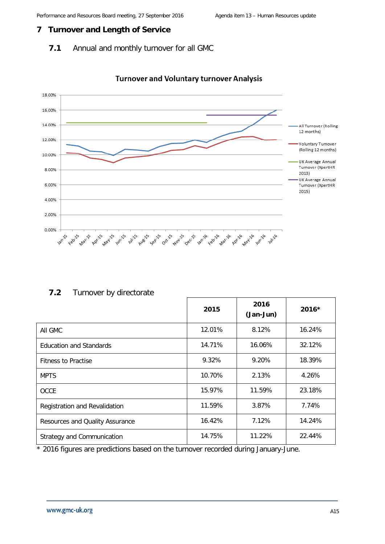### **7 Turnover and Length of Service**

### **7.1** Annual and monthly turnover for all GMC



### **Turnover and Voluntary turnover Analysis**

### **7.2** Turnover by directorate

|                                   | 2015   | 2016<br>$(Jan-Jun)$ | $2016*$ |
|-----------------------------------|--------|---------------------|---------|
| All GMC                           | 12.01% | 8.12%               | 16.24%  |
| <b>Education and Standards</b>    | 14.71% | 16.06%              | 32.12%  |
| <b>Fitness to Practise</b>        | 9.32%  | 9.20%               | 18.39%  |
| <b>MPTS</b>                       | 10.70% | 2.13%               | 4.26%   |
| <b>OCCE</b>                       | 15.97% | 11.59%              | 23.18%  |
| Registration and Revalidation     | 11.59% | 3.87%               | 7.74%   |
| Resources and Quality Assurance   | 16.42% | 7.12%               | 14.24%  |
| <b>Strategy and Communication</b> | 14.75% | 11.22%              | 22.44%  |

\* 2016 figures are predictions based on the turnover recorded during January-June.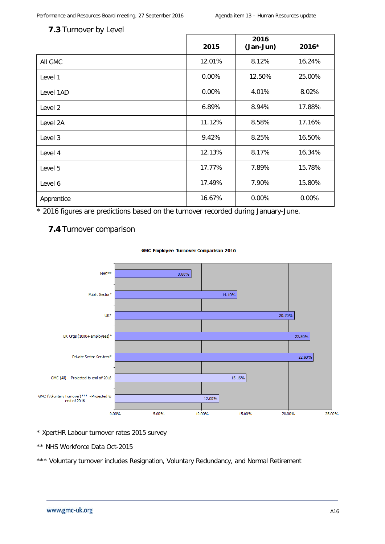### **7.3** Turnover by Level

|            | 2015   | 2016<br>$(Jan-Jun)$ | 2016*  |
|------------|--------|---------------------|--------|
| All GMC    | 12.01% | 8.12%               | 16.24% |
| Level 1    | 0.00%  | 12.50%              | 25.00% |
| Level 1AD  | 0.00%  | 4.01%               | 8.02%  |
| Level 2    | 6.89%  | 8.94%               | 17.88% |
| Level 2A   | 11.12% | 8.58%               | 17.16% |
| Level 3    | 9.42%  | 8.25%               | 16.50% |
| Level 4    | 12.13% | 8.17%               | 16.34% |
| Level 5    | 17.77% | 7.89%               | 15.78% |
| Level 6    | 17.49% | 7.90%               | 15.80% |
| Apprentice | 16.67% | 0.00%               | 0.00%  |

\* 2016 figures are predictions based on the turnover recorded during January-June.

### **7.4** Turnover comparison

#### **GMC Employee Turnover Comparison 2016**



\* XpertHR Labour turnover rates 2015 survey

\*\* NHS Workforce Data Oct-2015

\*\*\* Voluntary turnover includes Resignation, Voluntary Redundancy, and Normal Retirement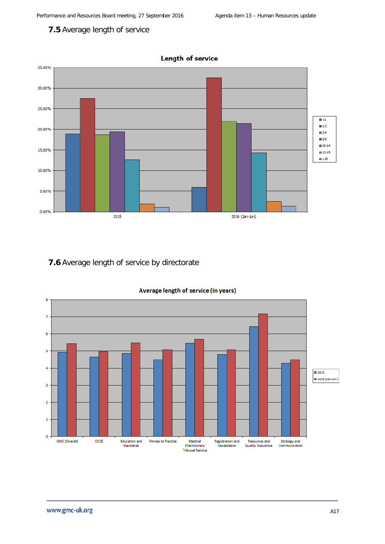### **7.5** Average length of service



### **7.6** Average length of service by directorate



### Average length of service (in years)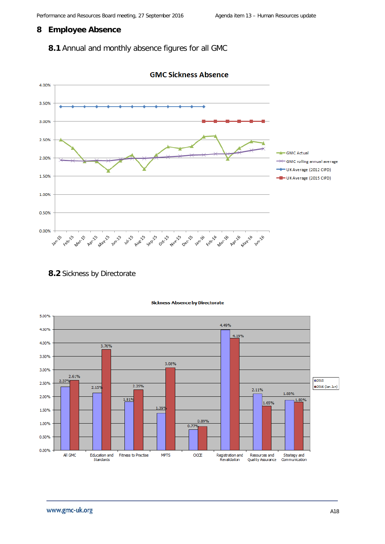### **8 Employee Absence**

### **8.1** Annual and monthly absence figures for all GMC



**GMC Sickness Absence** 

### **8.2** Sickness by Directorate



#### **Sickness Absence by Directorate**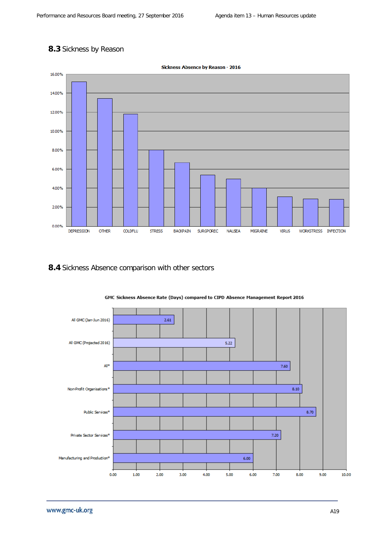### **8.3** Sickness by Reason



Sickness Absence by Reason - 2016

### **8.4** Sickness Absence comparison with other sectors



#### GMC Sickness Absence Rate (Days) compared to CIPD Absence Management Report 2016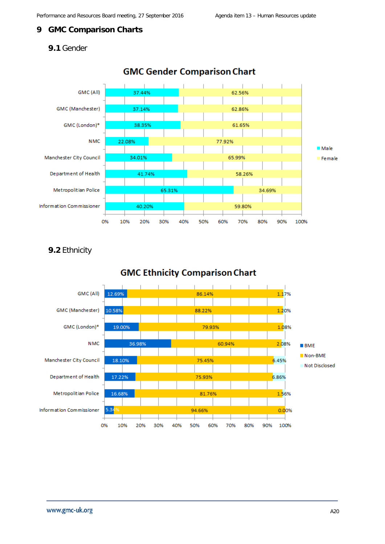### **9 GMC Comparison Charts**

### **9.1** Gender



### **GMC Gender Comparison Chart**

### **9.2** Ethnicity

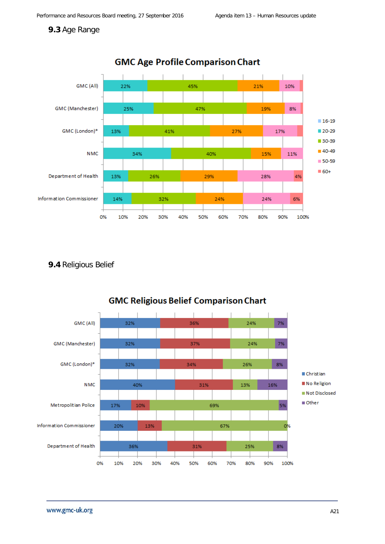### **9.3** Age Range



### **9.4** Religious Belief



### **GMC Religious Belief Comparison Chart**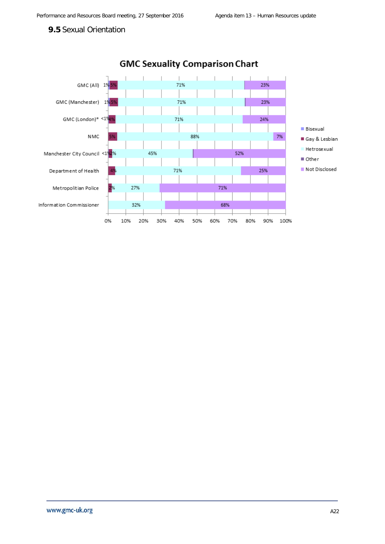### **9.5** Sexual Orientation

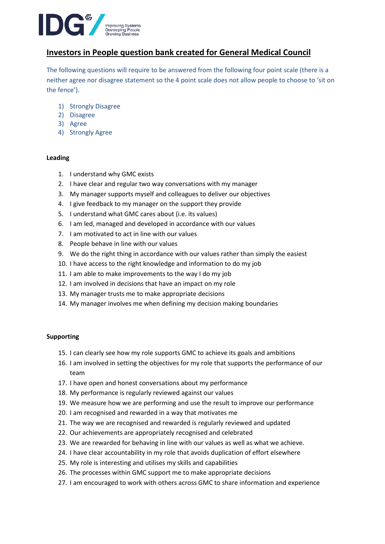

### **Investors in People question bank created for General Medical Council**

The following questions will require to be answered from the following four point scale (there is a neither agree nor disagree statement so the 4 point scale does not allow people to choose to 'sit on the fence').

- 1) Strongly Disagree
- 2) Disagree
- 3) Agree
- 4) Strongly Agree

#### **Leading**

- 1. I understand why GMC exists
- 2. I have clear and regular two way conversations with my manager
- 3. My manager supports myself and colleagues to deliver our objectives
- 4. I give feedback to my manager on the support they provide
- 5. I understand what GMC cares about (i.e. its values)
- 6. I am led, managed and developed in accordance with our values
- 7. I am motivated to act in line with our values
- 8. People behave in line with our values
- 9. We do the right thing in accordance with our values rather than simply the easiest
- 10. I have access to the right knowledge and information to do my job
- 11. I am able to make improvements to the way I do my job
- 12. I am involved in decisions that have an impact on my role
- 13. My manager trusts me to make appropriate decisions
- 14. My manager involves me when defining my decision making boundaries

#### **Supporting**

- 15. I can clearly see how my role supports GMC to achieve its goals and ambitions
- 16. I am involved in setting the objectives for my role that supports the performance of our team
- 17. I have open and honest conversations about my performance
- 18. My performance is regularly reviewed against our values
- 19. We measure how we are performing and use the result to improve our performance
- 20. I am recognised and rewarded in a way that motivates me
- 21. The way we are recognised and rewarded is regularly reviewed and updated
- 22. Our achievements are appropriately recognised and celebrated
- 23. We are rewarded for behaving in line with our values as well as what we achieve.
- 24. I have clear accountability in my role that avoids duplication of effort elsewhere
- 25. My role is interesting and utilises my skills and capabilities
- 26. The processes within GMC support me to make appropriate decisions
- 27. I am encouraged to work with others across GMC to share information and experience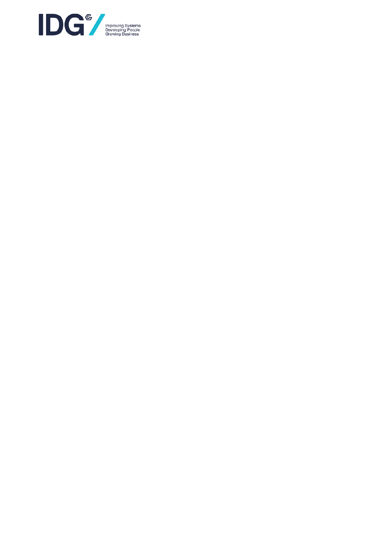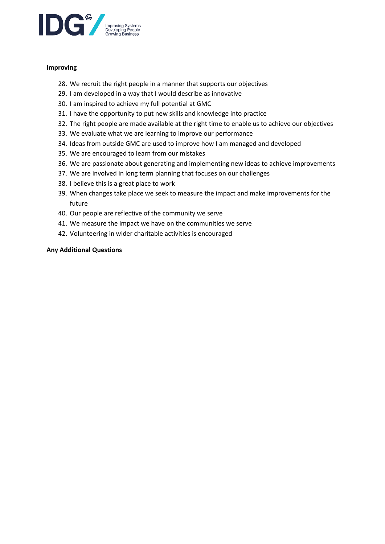

#### **Improving**

- 28. We recruit the right people in a manner that supports our objectives
- 29. I am developed in a way that I would describe as innovative
- 30. I am inspired to achieve my full potential at GMC
- 31. I have the opportunity to put new skills and knowledge into practice
- 32. The right people are made available at the right time to enable us to achieve our objectives
- 33. We evaluate what we are learning to improve our performance
- 34. Ideas from outside GMC are used to improve how I am managed and developed
- 35. We are encouraged to learn from our mistakes
- 36. We are passionate about generating and implementing new ideas to achieve improvements
- 37. We are involved in long term planning that focuses on our challenges
- 38. I believe this is a great place to work
- 39. When changes take place we seek to measure the impact and make improvements for the future
- 40. Our people are reflective of the community we serve
- 41. We measure the impact we have on the communities we serve
- 42. Volunteering in wider charitable activities is encouraged

### **Any Additional Questions**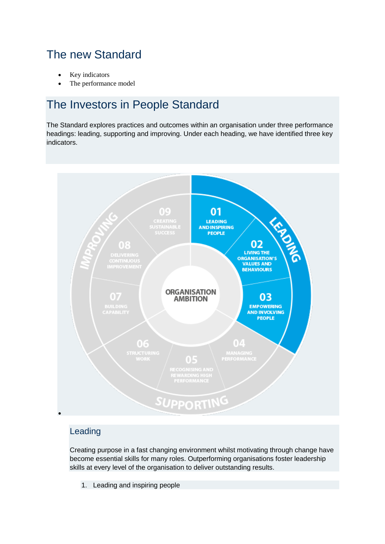### The new Standard

- [Key indicators](https://www.investorsinpeople.com/iip-standard?qt-lp_new_standard=0#qt-lp_new_standard)
- [The performance model](https://www.investorsinpeople.com/iip-standard?qt-lp_new_standard=1#qt-lp_new_standard)

### The Investors in People Standard

The Standard explores practices and outcomes within an organisation under three performance headings: leading, supporting and improving. Under each heading, we have identified three key indicators.



### Leading

Creating purpose in a fast changing environment whilst motivating through change have become essential skills for many roles. Outperforming organisations foster leadership skills at every level of the organisation to deliver outstanding results.

1. Leading and inspiring people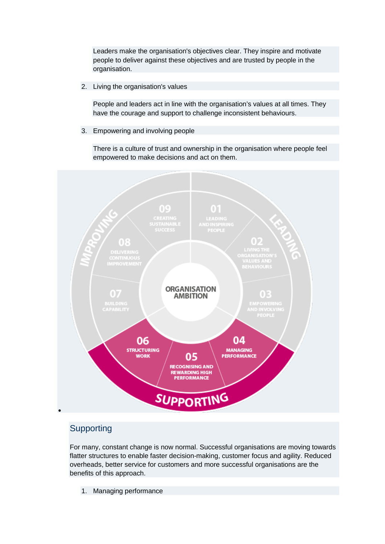Leaders make the organisation's objectives clear. They inspire and motivate people to deliver against these objectives and are trusted by people in the organisation.

2. Living the organisation's values

People and leaders act in line with the organisation's values at all times. They have the courage and support to challenge inconsistent behaviours.

3. Empowering and involving people

There is a culture of trust and ownership in the organisation where people feel empowered to make decisions and act on them.



### **Supporting**

For many, constant change is now normal. Successful organisations are moving towards flatter structures to enable faster decision-making, customer focus and agility. Reduced overheads, better service for customers and more successful organisations are the benefits of this approach.

1. Managing performance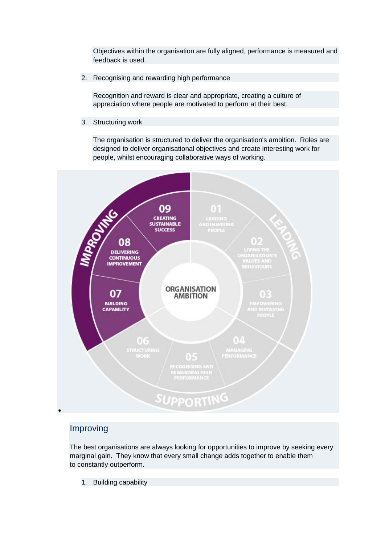Objectives within the organisation are fully aligned, performance is measured and feedback is used.

2. Recognising and rewarding high performance

Recognition and reward is clear and appropriate, creating a culture of appreciation where people are motivated to perform at their best.

3. Structuring work

The organisation is structured to deliver the organisation's ambition. Roles are designed to deliver organisational objectives and create interesting work for people, whilst encouraging collaborative ways of working.



### Improving

The best organisations are always looking for opportunities to improve by seeking every marginal gain. They know that every small change adds together to enable them to constantly outperform.

1. Building capability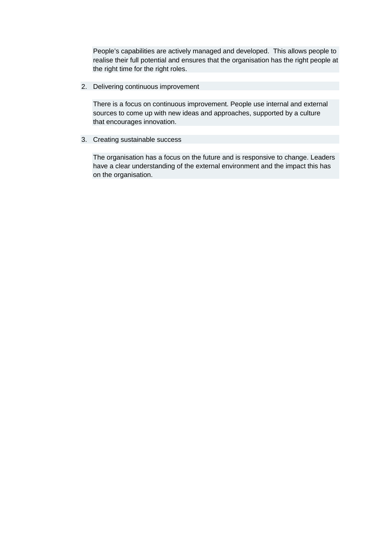People's capabilities are actively managed and developed. This allows people to realise their full potential and ensures that the organisation has the right people at the right time for the right roles.

2. Delivering continuous improvement

There is a focus on continuous improvement. People use internal and external sources to come up with new ideas and approaches, supported by a culture that encourages innovation.

3. Creating sustainable success

The organisation has a focus on the future and is responsive to change. Leaders have a clear understanding of the external environment and the impact this has on the organisation.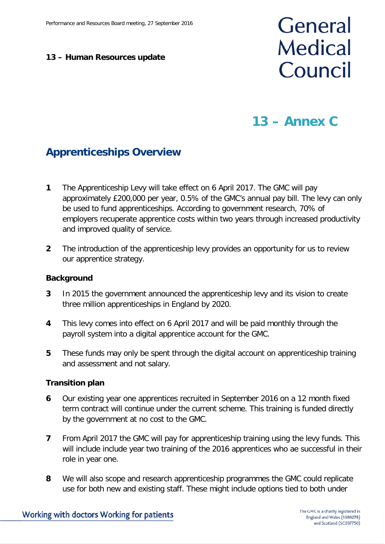### **13 – Human Resources update**

# General **Medical** Council

## **13 – Annex C**

### **Apprenticeships Overview**

- **1** The Apprenticeship Levy will take effect on 6 April 2017. The GMC will pay approximately £200,000 per year, 0.5% of the GMC's annual pay bill. The levy can only be used to fund apprenticeships. According to government research, 70% of employers recuperate apprentice costs within two years through increased productivity and improved quality of service.
- **2** The introduction of the apprenticeship levy provides an opportunity for us to review our apprentice strategy.

### **Background**

- **3** In 2015 the government announced the apprenticeship levy and its vision to create three million apprenticeships in England by 2020.
- **4** This levy comes into effect on 6 April 2017 and will be paid monthly through the payroll system into a digital apprentice account for the GMC.
- **5** These funds may only be spent through the digital account on apprenticeship training and assessment and not salary.

### **Transition plan**

- **6** Our existing year one apprentices recruited in September 2016 on a 12 month fixed term contract will continue under the current scheme. This training is funded directly by the government at no cost to the GMC.
- **7** From April 2017 the GMC will pay for apprenticeship training using the levy funds. This will include include year two training of the 2016 apprentices who ae successful in their role in year one.
- **8** We will also scope and research apprenticeship programmes the GMC could replicate use for both new and existing staff. These might include options tied to both under